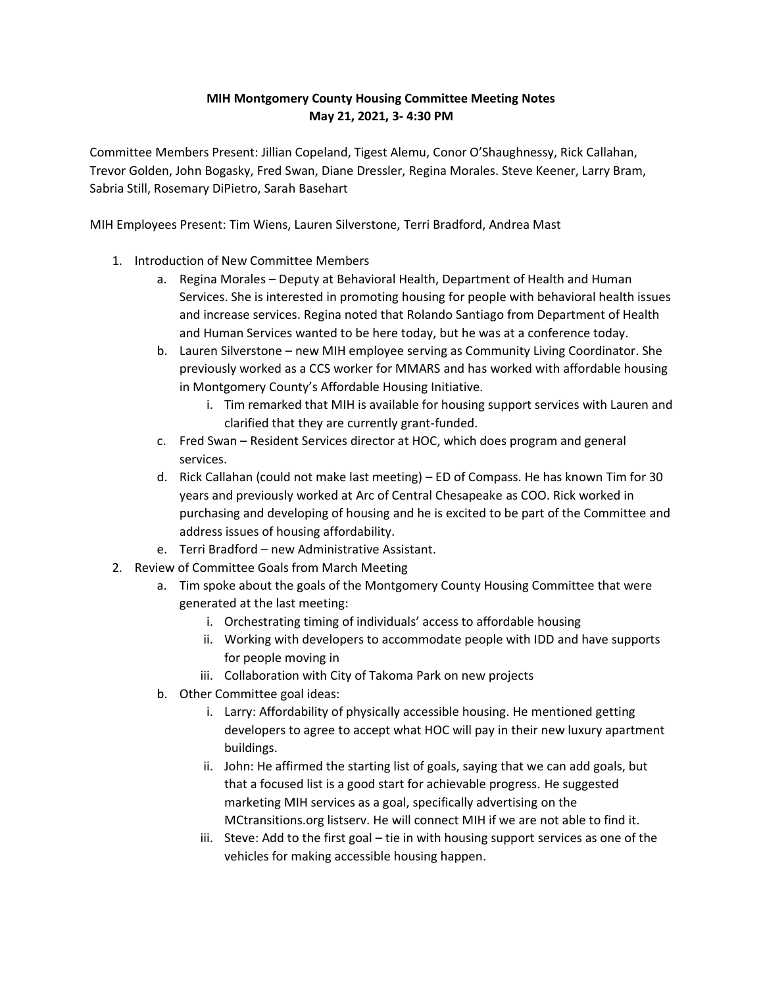## **MIH Montgomery County Housing Committee Meeting Notes May 21, 2021, 3- 4:30 PM**

Committee Members Present: Jillian Copeland, Tigest Alemu, Conor O'Shaughnessy, Rick Callahan, Trevor Golden, John Bogasky, Fred Swan, Diane Dressler, Regina Morales. Steve Keener, Larry Bram, Sabria Still, Rosemary DiPietro, Sarah Basehart

MIH Employees Present: Tim Wiens, Lauren Silverstone, Terri Bradford, Andrea Mast

- 1. Introduction of New Committee Members
	- a. Regina Morales Deputy at Behavioral Health, Department of Health and Human Services. She is interested in promoting housing for people with behavioral health issues and increase services. Regina noted that Rolando Santiago from Department of Health and Human Services wanted to be here today, but he was at a conference today.
	- b. Lauren Silverstone new MIH employee serving as Community Living Coordinator. She previously worked as a CCS worker for MMARS and has worked with affordable housing in Montgomery County's Affordable Housing Initiative.
		- i. Tim remarked that MIH is available for housing support services with Lauren and clarified that they are currently grant-funded.
	- c. Fred Swan Resident Services director at HOC, which does program and general services.
	- d. Rick Callahan (could not make last meeting) ED of Compass. He has known Tim for 30 years and previously worked at Arc of Central Chesapeake as COO. Rick worked in purchasing and developing of housing and he is excited to be part of the Committee and address issues of housing affordability.
	- e. Terri Bradford new Administrative Assistant.
- 2. Review of Committee Goals from March Meeting
	- a. Tim spoke about the goals of the Montgomery County Housing Committee that were generated at the last meeting:
		- i. Orchestrating timing of individuals' access to affordable housing
		- ii. Working with developers to accommodate people with IDD and have supports for people moving in
		- iii. Collaboration with City of Takoma Park on new projects
	- b. Other Committee goal ideas:
		- i. Larry: Affordability of physically accessible housing. He mentioned getting developers to agree to accept what HOC will pay in their new luxury apartment buildings.
		- ii. John: He affirmed the starting list of goals, saying that we can add goals, but that a focused list is a good start for achievable progress. He suggested marketing MIH services as a goal, specifically advertising on the MCtransitions.org listserv. He will connect MIH if we are not able to find it.
		- iii. Steve: Add to the first goal tie in with housing support services as one of the vehicles for making accessible housing happen.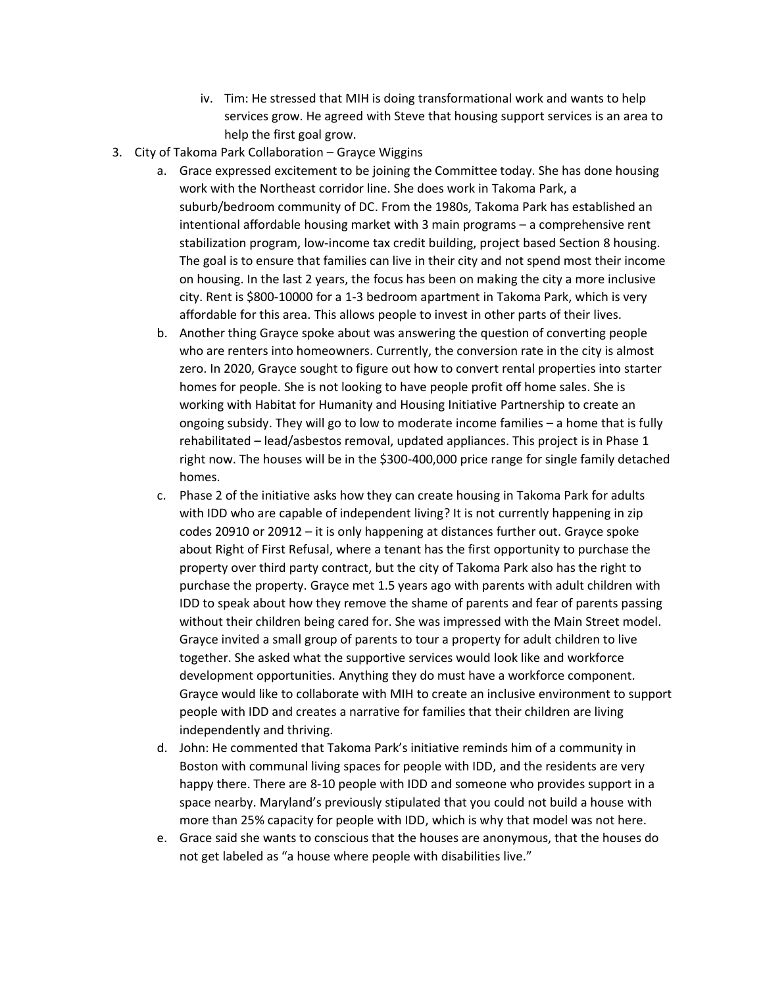- iv. Tim: He stressed that MIH is doing transformational work and wants to help services grow. He agreed with Steve that housing support services is an area to help the first goal grow.
- 3. City of Takoma Park Collaboration Grayce Wiggins
	- a. Grace expressed excitement to be joining the Committee today. She has done housing work with the Northeast corridor line. She does work in Takoma Park, a suburb/bedroom community of DC. From the 1980s, Takoma Park has established an intentional affordable housing market with 3 main programs – a comprehensive rent stabilization program, low-income tax credit building, project based Section 8 housing. The goal is to ensure that families can live in their city and not spend most their income on housing. In the last 2 years, the focus has been on making the city a more inclusive city. Rent is \$800-10000 for a 1-3 bedroom apartment in Takoma Park, which is very affordable for this area. This allows people to invest in other parts of their lives.
	- b. Another thing Grayce spoke about was answering the question of converting people who are renters into homeowners. Currently, the conversion rate in the city is almost zero. In 2020, Grayce sought to figure out how to convert rental properties into starter homes for people. She is not looking to have people profit off home sales. She is working with Habitat for Humanity and Housing Initiative Partnership to create an ongoing subsidy. They will go to low to moderate income families – a home that is fully rehabilitated – lead/asbestos removal, updated appliances. This project is in Phase 1 right now. The houses will be in the \$300-400,000 price range for single family detached homes.
	- c. Phase 2 of the initiative asks how they can create housing in Takoma Park for adults with IDD who are capable of independent living? It is not currently happening in zip codes 20910 or 20912 – it is only happening at distances further out. Grayce spoke about Right of First Refusal, where a tenant has the first opportunity to purchase the property over third party contract, but the city of Takoma Park also has the right to purchase the property. Grayce met 1.5 years ago with parents with adult children with IDD to speak about how they remove the shame of parents and fear of parents passing without their children being cared for. She was impressed with the Main Street model. Grayce invited a small group of parents to tour a property for adult children to live together. She asked what the supportive services would look like and workforce development opportunities. Anything they do must have a workforce component. Grayce would like to collaborate with MIH to create an inclusive environment to support people with IDD and creates a narrative for families that their children are living independently and thriving.
	- d. John: He commented that Takoma Park's initiative reminds him of a community in Boston with communal living spaces for people with IDD, and the residents are very happy there. There are 8-10 people with IDD and someone who provides support in a space nearby. Maryland's previously stipulated that you could not build a house with more than 25% capacity for people with IDD, which is why that model was not here.
	- e. Grace said she wants to conscious that the houses are anonymous, that the houses do not get labeled as "a house where people with disabilities live."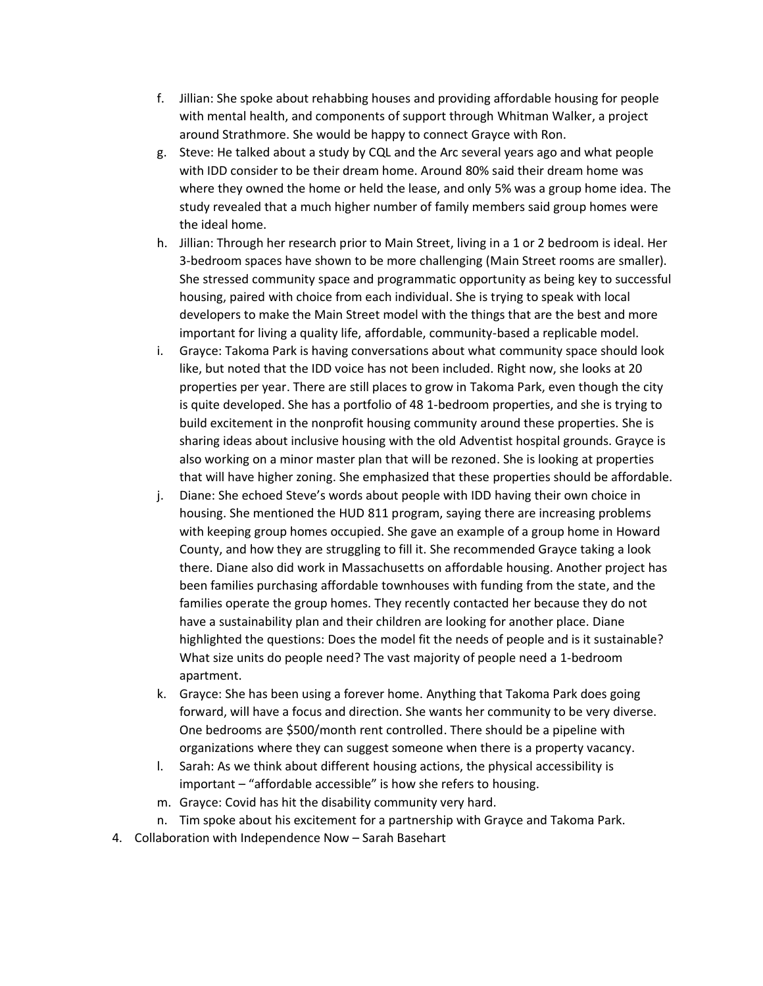- f. Jillian: She spoke about rehabbing houses and providing affordable housing for people with mental health, and components of support through Whitman Walker, a project around Strathmore. She would be happy to connect Grayce with Ron.
- g. Steve: He talked about a study by CQL and the Arc several years ago and what people with IDD consider to be their dream home. Around 80% said their dream home was where they owned the home or held the lease, and only 5% was a group home idea. The study revealed that a much higher number of family members said group homes were the ideal home.
- h. Jillian: Through her research prior to Main Street, living in a 1 or 2 bedroom is ideal. Her 3-bedroom spaces have shown to be more challenging (Main Street rooms are smaller). She stressed community space and programmatic opportunity as being key to successful housing, paired with choice from each individual. She is trying to speak with local developers to make the Main Street model with the things that are the best and more important for living a quality life, affordable, community-based a replicable model.
- i. Grayce: Takoma Park is having conversations about what community space should look like, but noted that the IDD voice has not been included. Right now, she looks at 20 properties per year. There are still places to grow in Takoma Park, even though the city is quite developed. She has a portfolio of 48 1-bedroom properties, and she is trying to build excitement in the nonprofit housing community around these properties. She is sharing ideas about inclusive housing with the old Adventist hospital grounds. Grayce is also working on a minor master plan that will be rezoned. She is looking at properties that will have higher zoning. She emphasized that these properties should be affordable.
- j. Diane: She echoed Steve's words about people with IDD having their own choice in housing. She mentioned the HUD 811 program, saying there are increasing problems with keeping group homes occupied. She gave an example of a group home in Howard County, and how they are struggling to fill it. She recommended Grayce taking a look there. Diane also did work in Massachusetts on affordable housing. Another project has been families purchasing affordable townhouses with funding from the state, and the families operate the group homes. They recently contacted her because they do not have a sustainability plan and their children are looking for another place. Diane highlighted the questions: Does the model fit the needs of people and is it sustainable? What size units do people need? The vast majority of people need a 1-bedroom apartment.
- k. Grayce: She has been using a forever home. Anything that Takoma Park does going forward, will have a focus and direction. She wants her community to be very diverse. One bedrooms are \$500/month rent controlled. There should be a pipeline with organizations where they can suggest someone when there is a property vacancy.
- l. Sarah: As we think about different housing actions, the physical accessibility is important – "affordable accessible" is how she refers to housing.
- m. Grayce: Covid has hit the disability community very hard.
- n. Tim spoke about his excitement for a partnership with Grayce and Takoma Park.
- 4. Collaboration with Independence Now Sarah Basehart